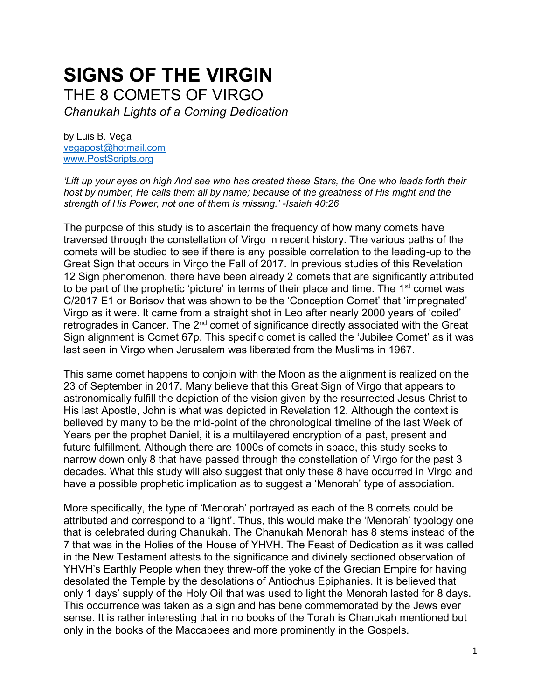# **SIGNS OF THE VIRGIN** THE 8 COMETS OF VIRGO

*Chanukah Lights of a Coming Dedication*

by Luis B. Vega [vegapost@hotmail.com](mailto:vegapost@hotmail.com) [www.PostScripts.org](http://www.postscripts.org/)

*'Lift up your eyes on high And see who has created these Stars, the One who leads forth their host by number, He calls them all by name; because of the greatness of His might and the strength of His Power, not one of them is missing.' -Isaiah 40:26*

The purpose of this study is to ascertain the frequency of how many comets have traversed through the constellation of Virgo in recent history. The various paths of the comets will be studied to see if there is any possible correlation to the leading-up to the Great Sign that occurs in Virgo the Fall of 2017. In previous studies of this Revelation 12 Sign phenomenon, there have been already 2 comets that are significantly attributed to be part of the prophetic 'picture' in terms of their place and time. The  $1<sup>st</sup>$  comet was C/2017 E1 or Borisov that was shown to be the 'Conception Comet' that 'impregnated' Virgo as it were. It came from a straight shot in Leo after nearly 2000 years of 'coiled' retrogrades in Cancer. The 2<sup>nd</sup> comet of significance directly associated with the Great Sign alignment is Comet 67p. This specific comet is called the 'Jubilee Comet' as it was last seen in Virgo when Jerusalem was liberated from the Muslims in 1967.

This same comet happens to conjoin with the Moon as the alignment is realized on the 23 of September in 2017. Many believe that this Great Sign of Virgo that appears to astronomically fulfill the depiction of the vision given by the resurrected Jesus Christ to His last Apostle, John is what was depicted in Revelation 12. Although the context is believed by many to be the mid-point of the chronological timeline of the last Week of Years per the prophet Daniel, it is a multilayered encryption of a past, present and future fulfillment. Although there are 1000s of comets in space, this study seeks to narrow down only 8 that have passed through the constellation of Virgo for the past 3 decades. What this study will also suggest that only these 8 have occurred in Virgo and have a possible prophetic implication as to suggest a 'Menorah' type of association.

More specifically, the type of 'Menorah' portrayed as each of the 8 comets could be attributed and correspond to a 'light'. Thus, this would make the 'Menorah' typology one that is celebrated during Chanukah. The Chanukah Menorah has 8 stems instead of the 7 that was in the Holies of the House of YHVH. The Feast of Dedication as it was called in the New Testament attests to the significance and divinely sectioned observation of YHVH's Earthly People when they threw-off the yoke of the Grecian Empire for having desolated the Temple by the desolations of Antiochus Epiphanies. It is believed that only 1 days' supply of the Holy Oil that was used to light the Menorah lasted for 8 days. This occurrence was taken as a sign and has bene commemorated by the Jews ever sense. It is rather interesting that in no books of the Torah is Chanukah mentioned but only in the books of the Maccabees and more prominently in the Gospels.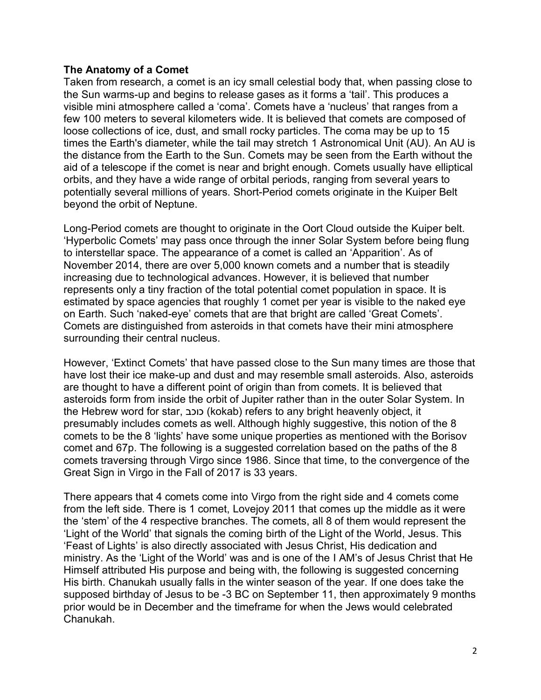### **The Anatomy of a Comet**

Taken from research, a comet is an icy small celestial body that, when passing close to the Sun warms-up and begins to release gases as it forms a 'tail'. This produces a visible mini atmosphere called a 'coma'. Comets have a 'nucleus' that ranges from a few 100 meters to several kilometers wide. It is believed that comets are composed of loose collections of ice, dust, and small rocky particles. The coma may be up to 15 times the Earth's diameter, while the tail may stretch 1 Astronomical Unit (AU). An AU is the distance from the Earth to the Sun. Comets may be seen from the Earth without the aid of a telescope if the comet is near and bright enough. Comets usually have elliptical orbits, and they have a wide range of orbital periods, ranging from several years to potentially several millions of years. Short-Period comets originate in the Kuiper Belt beyond the orbit of Neptune.

Long-Period comets are thought to originate in the Oort Cloud outside the Kuiper belt. 'Hyperbolic Comets' may pass once through the inner Solar System before being flung to interstellar space. The appearance of a comet is called an 'Apparition'. As of November 2014, there are over 5,000 known comets and a number that is steadily increasing due to technological advances. However, it is believed that number represents only a tiny fraction of the total potential comet population in space. It is estimated by space agencies that roughly 1 comet per year is visible to the naked eye on Earth. Such 'naked-eye' comets that are that bright are called 'Great Comets'. Comets are distinguished from asteroids in that comets have their mini atmosphere surrounding their central nucleus.

However, 'Extinct Comets' that have passed close to the Sun many times are those that have lost their ice make-up and dust and may resemble small asteroids. Also, asteroids are thought to have a different point of origin than from comets. It is believed that asteroids form from inside the orbit of Jupiter rather than in the outer Solar System. In the Hebrew word for star, כוכב) kokab) refers to any bright heavenly object, it presumably includes comets as well. Although highly suggestive, this notion of the 8 comets to be the 8 'lights' have some unique properties as mentioned with the Borisov comet and 67p. The following is a suggested correlation based on the paths of the 8 comets traversing through Virgo since 1986. Since that time, to the convergence of the Great Sign in Virgo in the Fall of 2017 is 33 years.

There appears that 4 comets come into Virgo from the right side and 4 comets come from the left side. There is 1 comet, Lovejoy 2011 that comes up the middle as it were the 'stem' of the 4 respective branches. The comets, all 8 of them would represent the 'Light of the World' that signals the coming birth of the Light of the World, Jesus. This 'Feast of Lights' is also directly associated with Jesus Christ, His dedication and ministry. As the 'Light of the World' was and is one of the I AM's of Jesus Christ that He Himself attributed His purpose and being with, the following is suggested concerning His birth. Chanukah usually falls in the winter season of the year. If one does take the supposed birthday of Jesus to be -3 BC on September 11, then approximately 9 months prior would be in December and the timeframe for when the Jews would celebrated Chanukah.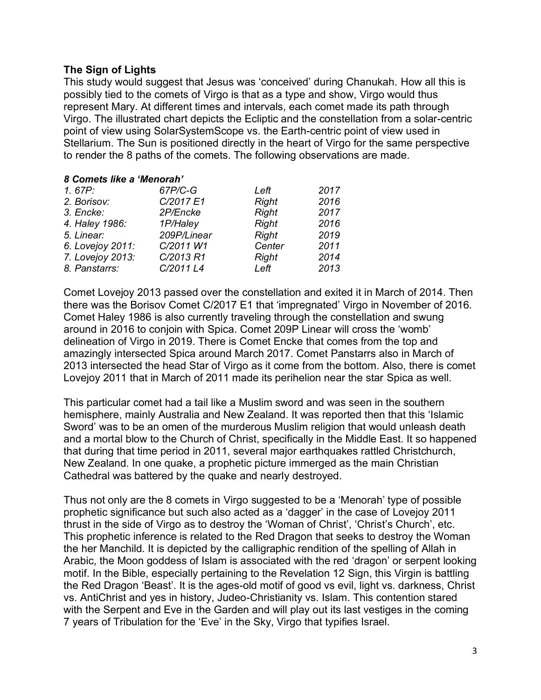## **The Sign of Lights**

This study would suggest that Jesus was 'conceived' during Chanukah. How all this is possibly tied to the comets of Virgo is that as a type and show, Virgo would thus represent Mary. At different times and intervals, each comet made its path through Virgo. The illustrated chart depicts the Ecliptic and the constellation from a solar-centric point of view using SolarSystemScope vs. the Earth-centric point of view used in Stellarium. The Sun is positioned directly in the heart of Virgo for the same perspective to render the 8 paths of the comets. The following observations are made.

#### *8 Comets like a 'Menorah'*

| 1.67P:           | 67P/C-G     | Left         | 2017 |
|------------------|-------------|--------------|------|
| 2. Borisov:      | C/2017 E1   | <b>Right</b> | 2016 |
| 3. Encke:        | 2P/Encke    | <b>Right</b> | 2017 |
|                  |             |              |      |
| 4. Haley 1986:   | 1P/Haley    | <b>Right</b> | 2016 |
| 5. Linear:       | 209P/Linear | <b>Right</b> | 2019 |
| 6. Lovejoy 2011: | C/2011 W1   | Center       | 2011 |
| 7. Lovejoy 2013: | C/2013 R1   | <b>Right</b> | 2014 |
| 8. Panstarrs:    | C/2011 L4   | Left         | 2013 |

Comet Lovejoy 2013 passed over the constellation and exited it in March of 2014. Then there was the Borisov Comet C/2017 E1 that 'impregnated' Virgo in November of 2016. Comet Haley 1986 is also currently traveling through the constellation and swung around in 2016 to conjoin with Spica. Comet 209P Linear will cross the 'womb' delineation of Virgo in 2019. There is Comet Encke that comes from the top and amazingly intersected Spica around March 2017. Comet Panstarrs also in March of 2013 intersected the head Star of Virgo as it come from the bottom. Also, there is comet Lovejoy 2011 that in March of 2011 made its perihelion near the star Spica as well.

This particular comet had a tail like a Muslim sword and was seen in the southern hemisphere, mainly Australia and New Zealand. It was reported then that this 'Islamic Sword' was to be an omen of the murderous Muslim religion that would unleash death and a mortal blow to the Church of Christ, specifically in the Middle East. It so happened that during that time period in 2011, several major earthquakes rattled Christchurch, New Zealand. In one quake, a prophetic picture immerged as the main Christian Cathedral was battered by the quake and nearly destroyed.

Thus not only are the 8 comets in Virgo suggested to be a 'Menorah' type of possible prophetic significance but such also acted as a 'dagger' in the case of Lovejoy 2011 thrust in the side of Virgo as to destroy the 'Woman of Christ', 'Christ's Church', etc. This prophetic inference is related to the Red Dragon that seeks to destroy the Woman the her Manchild. It is depicted by the calligraphic rendition of the spelling of Allah in Arabic, the Moon goddess of Islam is associated with the red 'dragon' or serpent looking motif. In the Bible, especially pertaining to the Revelation 12 Sign, this Virgin is battling the Red Dragon 'Beast'. It is the ages-old motif of good vs evil, light vs. darkness, Christ vs. AntiChrist and yes in history, Judeo-Christianity vs. Islam. This contention stared with the Serpent and Eve in the Garden and will play out its last vestiges in the coming 7 years of Tribulation for the 'Eve' in the Sky, Virgo that typifies Israel.